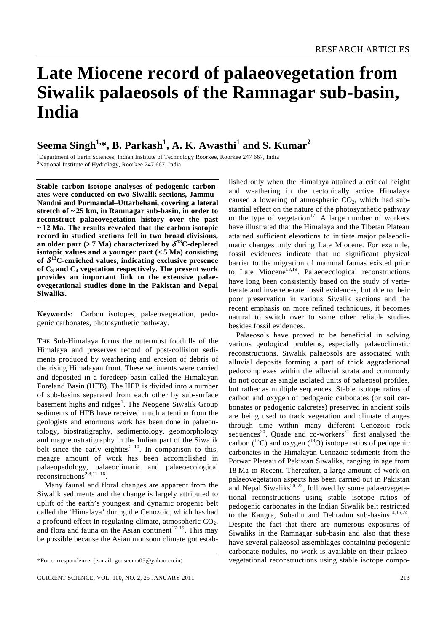# **Late Miocene record of palaeovegetation from Siwalik palaeosols of the Ramnagar sub-basin, India**

# $\boldsymbol{\mathrm{Seema\; Singh^{1,\ast}, \mathrm{B. \; Parkash^{1}, \mathrm{A. \; K. \; Awasthi^{1}} \; and \; S. \; Kumar^{2}}}$

<sup>1</sup>Department of Earth Sciences, Indian Institute of Technology Roorkee, Roorkee 247 667, India<br><sup>2</sup>Netional Institute of Undualgeus, Bearlies 247,667, India <sup>2</sup>National Institute of Hydrology, Roorkee 247 667, India

**Stable carbon isotope analyses of pedogenic carbonates were conducted on two Siwalik sections, Jammu– Nandni and Purmandal–Uttarbehani, covering a lateral stretch of ~ 25 km, in Ramnagar sub-basin, in order to reconstruct palaeovegetation history over the past ~ 12 Ma. The results revealed that the carbon isotopic record in studied sections fell in two broad divisions,**  an older part ( $> 7$  Ma) characterized by  $\delta^{13}$ C-depleted **isotopic values and a younger part**  $(< 5 \text{ Ma})$  **consisting** of  $\delta$ <sup>13</sup>C-enriched values, indicating exclusive presence **of C3 and C4 vegetation respectively. The present work provides an important link to the extensive palaeovegetational studies done in the Pakistan and Nepal Siwaliks.** 

**Keywords:** Carbon isotopes, palaeovegetation, pedogenic carbonates, photosynthetic pathway.

THE Sub-Himalaya forms the outermost foothills of the Himalaya and preserves record of post-collision sediments produced by weathering and erosion of debris of the rising Himalayan front. These sediments were carried and deposited in a foredeep basin called the Himalayan Foreland Basin (HFB). The HFB is divided into a number of sub-basins separated from each other by sub-surface basement highs and ridges<sup>1</sup>. The Neogene Siwalik Group sediments of HFB have received much attention from the geologists and enormous work has been done in palaeontology, biostratigraphy, sedimentology, geomorphology and magnetostratigraphy in the Indian part of the Siwalik belt since the early eighties<sup> $2-10$ </sup>. In comparison to this, meagre amount of work has been accomplished in palaeopedology, palaeoclimatic and palaeoecological reconstructions<sup>2,8,11–16</sup>.

 Many faunal and floral changes are apparent from the Siwalik sediments and the change is largely attributed to uplift of the earth's youngest and dynamic orogenic belt called the 'Himalaya' during the Cenozoic, which has had a profound effect in regulating climate, atmospheric  $CO<sub>2</sub>$ , and flora and fauna on the Asian continent<sup>17–19</sup>. This may be possible because the Asian monsoon climate got established only when the Himalaya attained a critical height and weathering in the tectonically active Himalaya caused a lowering of atmospheric  $CO<sub>2</sub>$ , which had substantial effect on the nature of the photosynthetic pathway or the type of vegetation $17$ . A large number of workers have illustrated that the Himalaya and the Tibetan Plateau attained sufficient elevations to initiate major palaeoclimatic changes only during Late Miocene. For example, fossil evidences indicate that no significant physical barrier to the migration of mammal faunas existed prior to Late Miocene<sup>18,19</sup>. Palaeoecological reconstructions have long been consistently based on the study of verteberate and inverteberate fossil evidences, but due to their poor preservation in various Siwalik sections and the recent emphasis on more refined techniques, it becomes natural to switch over to some other reliable studies besides fossil evidences.

 Palaeosols have proved to be beneficial in solving various geological problems, especially palaeoclimatic reconstructions. Siwalik palaeosols are associated with alluvial deposits forming a part of thick aggradational pedocomplexes within the alluvial strata and commonly do not occur as single isolated units of palaeosol profiles, but rather as multiple sequences. Stable isotope ratios of carbon and oxygen of pedogenic carbonates (or soil carbonates or pedogenic calcretes) preserved in ancient soils are being used to track vegetation and climate changes through time within many different Cenozoic rock sequences<sup>20</sup>. Quade and co-workers<sup>21</sup> first analysed the carbon  $(^{13}C)$  and oxygen  $(^{18}O)$  isotope ratios of pedogenic carbonates in the Himalayan Cenozoic sediments from the Potwar Plateau of Pakistan Siwaliks, ranging in age from 18 Ma to Recent. Thereafter, a large amount of work on palaeovegetation aspects has been carried out in Pakistan and Nepal Siwaliks<sup>20-23</sup>, followed by some palaeovegetational reconstructions using stable isotope ratios of pedogenic carbonates in the Indian Siwalik belt restricted to the Kangra, Subathu and Dehradun sub-basins<sup>14,15,24</sup>. Despite the fact that there are numerous exposures of Siwaliks in the Ramnagar sub-basin and also that these have several palaeosol assemblages containing pedogenic carbonate nodules, no work is available on their palaeovegetational reconstructions using stable isotope compo-

<sup>\*</sup>For correspondence. (e-mail: geoseema05@yahoo.co.in)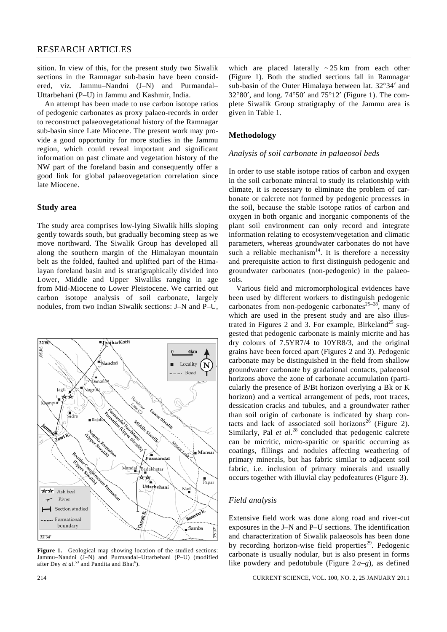sition. In view of this, for the present study two Siwalik sections in the Ramnagar sub-basin have been considered, viz. Jammu–Nandni (J–N) and Purmandal– Uttarbehani (P–U) in Jammu and Kashmir, India.

 An attempt has been made to use carbon isotope ratios of pedogenic carbonates as proxy palaeo-records in order to reconstruct palaeovegetational history of the Ramnagar sub-basin since Late Miocene. The present work may provide a good opportunity for more studies in the Jammu region, which could reveal important and significant information on past climate and vegetation history of the NW part of the foreland basin and consequently offer a good link for global palaeovegetation correlation since late Miocene.

#### **Study area**

The study area comprises low-lying Siwalik hills sloping gently towards south, but gradually becoming steep as we move northward. The Siwalik Group has developed all along the southern margin of the Himalayan mountain belt as the folded, faulted and uplifted part of the Himalayan foreland basin and is stratigraphically divided into Lower, Middle and Upper Siwaliks ranging in age from Mid-Miocene to Lower Pleistocene. We carried out carbon isotope analysis of soil carbonate, largely nodules, from two Indian Siwalik sections: J–N and P–U,



**Figure 1.** Geological map showing location of the studied sections: Jammu–Nandni (J–N) and Purmandal–Uttarbehani (P–U) (modified after Dey *et al.*<sup>53</sup> and Pandita and Bhat<sup>6</sup>).

which are placed laterally  $\sim$  25 km from each other (Figure 1). Both the studied sections fall in Ramnagar sub-basin of the Outer Himalaya between lat. 32°34′ and 32°80′, and long.  $74^{\circ}50'$  and  $75^{\circ}12'$  (Figure 1). The complete Siwalik Group stratigraphy of the Jammu area is given in Table 1.

### **Methodology**

#### *Analysis of soil carbonate in palaeosol beds*

In order to use stable isotope ratios of carbon and oxygen in the soil carbonate mineral to study its relationship with climate, it is necessary to eliminate the problem of carbonate or calcrete not formed by pedogenic processes in the soil, because the stable isotope ratios of carbon and oxygen in both organic and inorganic components of the plant soil environment can only record and integrate information relating to ecosystem/vegetation and climatic parameters, whereas groundwater carbonates do not have such a reliable mechanism $14$ . It is therefore a necessity and prerequisite action to first distinguish pedogenic and groundwater carbonates (non-pedogenic) in the palaeosols.

 Various field and micromorphological evidences have been used by different workers to distinguish pedogenic carbonates from non-pedogenic carbonates<sup>25–28</sup>, many of which are used in the present study and are also illustrated in Figures 2 and 3. For example, Birkeland<sup>25</sup> suggested that pedogenic carbonate is mainly micrite and has dry colours of 7.5YR7/4 to 10YR8/3, and the original grains have been forced apart (Figures 2 and 3). Pedogenic carbonate may be distinguished in the field from shallow groundwater carbonate by gradational contacts, palaeosol horizons above the zone of carbonate accumulation (particularly the presence of B/Bt horizon overlying a Bk or K horizon) and a vertical arrangement of peds, root traces, dessication cracks and tubules, and a groundwater rather than soil origin of carbonate is indicated by sharp contacts and lack of associated soil horizons<sup>26</sup> (Figure 2). Similarly, Pal *et al.*<sup>28</sup> concluded that pedogenic calcrete can be micritic, micro-sparitic or sparitic occurring as coatings, fillings and nodules affecting weathering of primary minerals, but has fabric similar to adjacent soil fabric, i.e. inclusion of primary minerals and usually occurs together with illuvial clay pedofeatures (Figure 3).

#### *Field analysis*

Extensive field work was done along road and river-cut exposures in the J–N and P–U sections. The identification and characterization of Siwalik palaeosols has been done by recording horizon-wise field properties<sup>29</sup>. Pedogenic carbonate is usually nodular, but is also present in forms like powdery and pedotubule (Figure  $2a-e$ ), as defined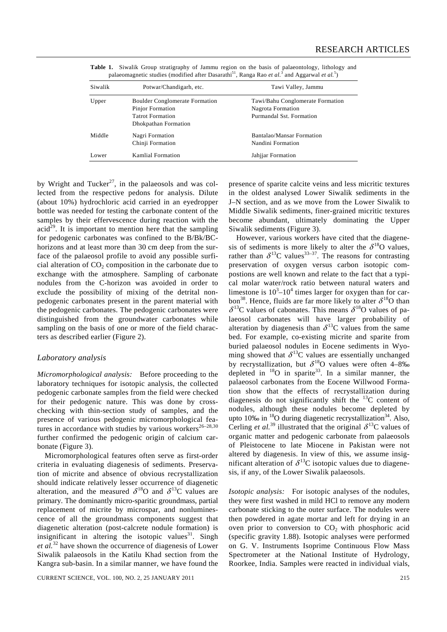| Siwalik | Potwar/Chandigarh, etc.               | Tawi Valley, Jammu               |
|---------|---------------------------------------|----------------------------------|
| Upper   | <b>Boulder Conglomerate Formation</b> | Tawi/Bahu Conglomerate Formation |
|         | Pinjor Formation                      | Nagrota Formation                |
|         | <b>Tatrot Formation</b>               | Purmandal Sst. Formation         |
|         | Dhokpathan Formation                  |                                  |
| Middle  | Nagri Formation                       | Bantalao/Mansar Formation        |
|         | Chinji Formation                      | Nandini Formation                |
| Lower   | Kamlial Formation                     | Jahjjar Formation                |

**Table 1.** Siwalik Group stratigraphy of Jammu region on the basis of palaeontology, lithology and palaeomagnetic studies (modified after Dasarathi<sup>51</sup>, Ranga Rao *et al.*<sup>3</sup> and Aggarwal *et al.*<sup>5</sup>)

by Wright and Tucker<sup>27</sup>, in the palaeosols and was collected from the respective pedons for analysis. Dilute (about 10%) hydrochloric acid carried in an eyedropper bottle was needed for testing the carbonate content of the samples by their effervescence during reaction with the  $\text{acid}^{29}$ . It is important to mention here that the sampling for pedogenic carbonates was confined to the B/Bk/BChorizons and at least more than 30 cm deep from the surface of the palaeosol profile to avoid any possible surficial alteration of  $CO<sub>2</sub>$  composition in the carbonate due to exchange with the atmosphere. Sampling of carbonate nodules from the C-horizon was avoided in order to exclude the possibility of mixing of the detrital nonpedogenic carbonates present in the parent material with the pedogenic carbonates. The pedogenic carbonates were distinguished from the groundwater carbonates while sampling on the basis of one or more of the field characters as described earlier (Figure 2).

#### *Laboratory analysis*

*Micromorphological analysis:* Before proceeding to the laboratory techniques for isotopic analysis, the collected pedogenic carbonate samples from the field were checked for their pedogenic nature. This was done by crosschecking with thin-section study of samples, and the presence of various pedogenic micromorphological features in accordance with studies by various workers<sup>26-28,30</sup> further confirmed the pedogenic origin of calcium carbonate (Figure 3).

 Micromorphological features often serve as first-order criteria in evaluating diagenesis of sediments. Preservation of micrite and absence of obvious recrystallization should indicate relatively lesser occurrence of diagenetic alteration, and the measured  $\delta^{18}$ O and  $\delta^{13}$ C values are primary. The dominantly micro-sparitic groundmass, partial replacement of micrite by microspar, and nonluminescence of all the groundmass components suggest that diagenetic alteration (post-calcrete nodule formation) is insignificant in altering the isotopic values<sup>31</sup>. Singh *et al.*32 have shown the occurrence of diagenesis of Lower Siwalik palaeosols in the Katilu Khad section from the Kangra sub-basin. In a similar manner, we have found the

presence of sparite calcite veins and less micritic textures in the oldest analysed Lower Siwalik sediments in the J–N section, and as we move from the Lower Siwalik to Middle Siwalik sediments, finer-grained micritic textures become abundant, ultimately dominating the Upper Siwalik sediments (Figure 3).

 However, various workers have cited that the diagenesis of sediments is more likely to alter the  $\delta^{18}$ O values, rather than  $\delta^{13}$ C values<sup>33–37</sup>. The reasons for contrasting preservation of oxygen versus carbon isotopic compostions are well known and relate to the fact that a typical molar water/rock ratio between natural waters and limestone is  $10^3 - 10^4$  times larger for oxygen than for carbon<sup>38</sup>. Hence, fluids are far more likely to alter  $\delta^{18}$ O than  $\delta^{13}$ C values of cabonates. This means  $\delta^{18}$ O values of palaeosol carbonates will have larger probability of alteration by diagenesis than  $\delta^{13}$ C values from the same bed. For example, co-existing micrite and sparite from buried palaeosol nodules in Eocene sediments in Wyoming showed that  $\delta^{13}$ C values are essentially unchanged by recrystallization, but  $\delta^{18}$ O values were often 4–8‰ depleted in  $^{18}$ O in sparite<sup>33</sup>. In a similar manner, the palaeosol carbonates from the Eocene Willwood Formation show that the effects of recrystallization during diagenesis do not significantly shift the  $^{13}$ C content of nodules, although these nodules become depleted by upto 10‰ in  ${}^{18}O$  during diagenetic recrystallization<sup>34</sup>. Also, Cerling *et al.*<sup>39</sup> illustrated that the original  $\delta^{13}$ C values of organic matter and pedogenic carbonate from palaeosols of Pleistocene to late Miocene in Pakistan were not altered by diagenesis. In view of this, we assume insignificant alteration of  $\delta^{13}$ C isotopic values due to diagenesis, if any, of the Lower Siwalik palaeosols.

*Isotopic analysis:* For isotopic analyses of the nodules, they were first washed in mild HCl to remove any modern carbonate sticking to the outer surface. The nodules were then powdered in agate mortar and left for drying in an oven prior to conversion to  $CO<sub>2</sub>$  with phosphoric acid (specific gravity 1.88). Isotopic analyses were performed on G. V. Instruments Isoprime Continuous Flow Mass Spectrometer at the National Institute of Hydrology, Roorkee, India. Samples were reacted in individual vials,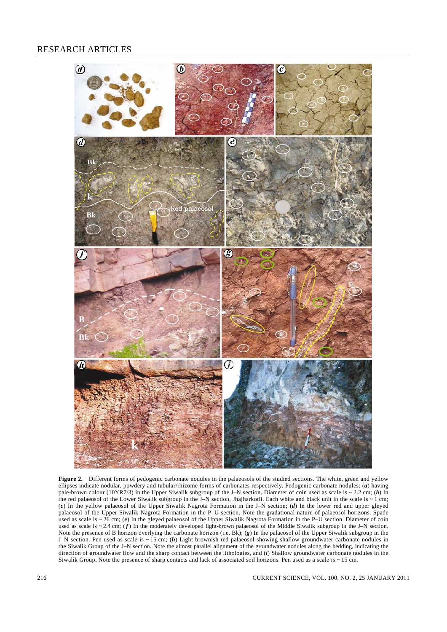# RESEARCH ARTICLES



**Figure 2.** Different forms of pedogenic carbonate nodules in the palaeosols of the studied sections. The white, green and yellow ellipses indicate nodular, powdery and tubular/rhizome forms of carbonates respectively. Pedogenic carbonate nodules: (*a*) having pale-brown colour (10YR7/3) in the Upper Siwalik subgroup of the J–N section. Diameter of coin used as scale is ~ 2.2 cm; (*b*) In the red palaeosol of the Lower Siwalik subgroup in the J–N section, Jhajharkotli. Each white and black unit in the scale is  $\sim 1$  cm; (*c*) In the yellow palaeosol of the Upper Siwalik Nagrota Formation in the J–N section; (*d*) In the lower red and upper gleyed palaeosol of the Upper Siwalik Nagrota Formation in the P–U section. Note the gradational nature of palaeosol horizons. Spade used as scale is ~ 26 cm; (*e*) In the gleyed palaeosol of the Upper Siwalik Nagrota Formation in the P–U section. Diameter of coin used as scale is  $\sim$  2.4 cm; ( $f$ ) In the moderately developed light-brown palaeosol of the Middle Siwalik subgroup in the J–N section. Note the presence of B horizon overlying the carbonate horizon (i.e. Bk); (*g*) In the palaeosol of the Upper Siwalik subgroup in the J–N section. Pen used as scale is ~ 15 cm; (*h*) Light brownish-red palaeosol showing shallow groundwater carbonate nodules in the Siwalik Group of the J–N section. Note the almost parallel alignment of the groundwater nodules along the bedding, indicating the direction of groundwater flow and the sharp contact between the lithologies, and (*i*) Shallow groundwater carbonate nodules in the Siwalik Group. Note the presence of sharp contacts and lack of associated soil horizons. Pen used as a scale is  $\sim$  15 cm.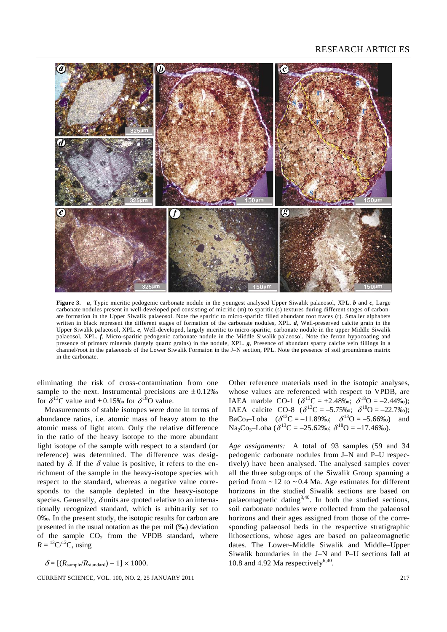# RESEARCH ARTICLES



**Figure 3.** *a*, Typic micritic pedogenic carbonate nodule in the youngest analysed Upper Siwalik palaeosol, XPL. *b* and *c*, Large carbonate nodules present in well-developed ped consisting of micritic (m) to sparitic (s) textures during different stages of carbonate formation in the Upper Siwalik palaeosol. Note the sparitic to micro-sparitic filled abundant root traces (r). Smaller alphabets written in black represent the different stages of formation of the carbonate nodules, XPL. *d*, Well-preserved calcite grain in the Upper Siwalik palaeosol, XPL. *e*, Well-developed, largely micritic to micro-sparitic, carbonate nodule in the upper Middle Siwalik palaeosol, XPL. *f*, Micro-sparitic pedogenic carbonate nodule in the Middle Siwalik palaeosol. Note the ferran hypocoating and presence of primary minerals (largely quartz grains) in the nodule, XPL. *g*, Presence of abundant sparry calcite vein fillings in a channel/root in the palaeosols of the Lower Siwalik Formaion in the J–N section, PPL. Note the presence of soil groundmass matrix in the carbonate.

eliminating the risk of cross-contamination from one sample to the next. Instrumental precisions are  $\pm 0.12\%$ for  $\delta^{13}$ C value and  $\pm$  0.15‰ for  $\delta^{18}$ O value.

 Measurements of stable isotopes were done in terms of abundance ratios, i.e. atomic mass of heavy atom to the atomic mass of light atom. Only the relative difference in the ratio of the heavy isotope to the more abundant light isotope of the sample with respect to a standard (or reference) was determined. The difference was designated by  $\delta$ . If the  $\delta$  value is positive, it refers to the enrichment of the sample in the heavy-isotope species with respect to the standard, whereas a negative value corresponds to the sample depleted in the heavy-isotope species. Generally,  $\delta$  units are quoted relative to an internationally recognized standard, which is arbitrarily set to 0‰. In the present study, the isotopic results for carbon are presented in the usual notation as the per mil (‰) deviation of the sample  $CO<sub>2</sub>$  from the VPDB standard, where  $R = {}^{13}C/{}^{12}C$ , using

 $\delta = [(R_{\text{sample}}/R_{\text{standard}}) - 1] \times 1000.$ 

CURRENT SCIENCE, VOL. 100, NO. 2, 25 JANUARY 2011 217

Other reference materials used in the isotopic analyses, whose values are referenced with respect to VPDB, are IAEA marble CO-1 ( $\delta^{13}$ C = +2.48‰;  $\delta^{18}$ O = -2.44‰); IAEA calcite CO-8 ( $\delta^{13}$ C = -5.75‰;  $\delta^{18}$ O = -22.7‰); BaCo<sub>3</sub>-Loba  $(\delta^{13}C = -11.89\% \text{°}, \delta^{18}O = -5.66\% \text{°})$  and  $\text{Na}_2\text{Co}_3\text{-Loba}$  ( $\delta^{13}\text{C} = -25.62\%$ );  $\delta^{18}\text{O} = -17.46\%$ ).

*Age assignments:* A total of 93 samples (59 and 34 pedogenic carbonate nodules from J–N and P–U respectively) have been analysed. The analysed samples cover all the three subgroups of the Siwalik Group spanning a period from  $\sim$  12 to  $\sim$  0.4 Ma. Age estimates for different horizons in the studied Siwalik sections are based on palaeomagnetic dating $3,40$ . In both the studied sections, soil carbonate nodules were collected from the palaeosol horizons and their ages assigned from those of the corresponding palaeosol beds in the respective stratigraphic lithosections, whose ages are based on palaeomagnetic dates. The Lower–Middle Siwalik and Middle–Upper Siwalik boundaries in the J–N and P–U sections fall at 10.8 and 4.92 Ma respectively<sup>6,40</sup>.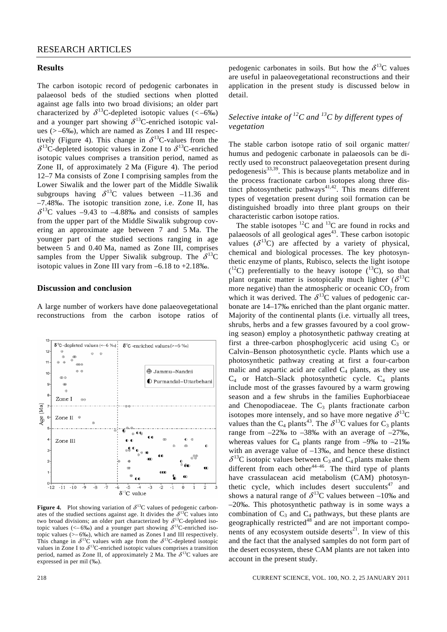#### **Results**

The carbon isotopic record of pedogenic carbonates in palaeosol beds of the studied sections when plotted against age falls into two broad divisions; an older part characterized by  $\delta^{13}$ C-depleted isotopic values (<-6‰) and a younger part showing  $\delta^{13}$ C-enriched isotopic values (> –6‰), which are named as Zones I and III respectively (Figure 4). This change in  $\delta^{13}$ C-values from the  $\delta^{13}$ C-depleted isotopic values in Zone I to  $\delta^{13}$ C-enriched isotopic values comprises a transition period, named as Zone II, of approximately 2 Ma (Figure 4). The period 12–7 Ma consists of Zone I comprising samples from the Lower Siwalik and the lower part of the Middle Siwalik subgroups having  $\delta^{13}$ C values between –11.36 and –7.48‰. The isotopic transition zone, i.e. Zone II, has  $\delta^{13}$ C values -9.43 to -4.88‰ and consists of samples from the upper part of the Middle Siwalik subgroup covering an approximate age between 7 and 5 Ma. The younger part of the studied sections ranging in age between 5 and 0.40 Ma, named as Zone III, comprises samples from the Upper Siwalik subgroup. The  $\delta^{13}C$ isotopic values in Zone III vary from –6.18 to +2.18‰.

#### **Discussion and conclusion**

A large number of workers have done palaeovegetational reconstructions from the carbon isotope ratios of



**Figure 4.** Plot showing variation of  $\delta^{13}$ C values of pedogenic carbonates of the studied sections against age. It divides the  $\delta^{13}$ C values into two broad divisions; an older part characterized by  $\delta^{13}$ C-depleted isotopic values (<- 6‰) and a younger part showing  $\delta^{13}$ C-enriched isotopic values (>– 6‰), which are named as Zones I and III respectively. This change in  $\delta^{13}$ C values with age from the  $\delta^{13}$ C-depleted isotopic values in Zone I to  $\delta^{13}$ C-enriched isotopic values comprises a transition period, named as Zone II, of approximately 2 Ma. The  $\delta^{13}C$  values are expressed in per mil (‰).

# *Selective intake of 12C and 13C by different types of vegetation*

The stable carbon isotope ratio of soil organic matter/ humus and pedogenic carbonate in palaeosols can be directly used to reconstruct palaeovegetation present during pedogenesis<sup>33,39</sup>. This is because plants metabolize and in the process fractionate carbon isotopes along three distinct photosynthetic pathways<sup>41,42</sup>. This means different types of vegetation present during soil formation can be distinguished broadly into three plant groups on their characteristic carbon isotope ratios.

The stable isotopes  ${}^{12}C$  and  ${}^{13}C$  are found in rocks and palaeosols of all geological ages<sup>43</sup>. These carbon isotopic values  $(\delta^{13}C)$  are affected by a variety of physical, chemical and biological processes. The key photosynthetic enzyme of plants, Rubisco, selects the light isotope  $(1^2C)$  preferentially to the heavy isotope  $(1^3C)$ , so that plant organic matter is isotopically much lighter  $(\delta^{13}C)$ more negative) than the atmospheric or oceanic  $CO<sub>2</sub>$  from which it was derived. The  $\delta^{13}$ C values of pedogenic carbonate are 14–17‰ enriched than the plant organic matter. Majority of the continental plants (i.e. virtually all trees, shrubs, herbs and a few grasses favoured by a cool growing season) employ a photosynthetic pathway creating at first a three-carbon phosphoglyceric acid using  $C_3$  or Calvin–Benson photosynthetic cycle. Plants which use a photosynthetic pathway creating at first a four-carbon malic and aspartic acid are called  $C_4$  plants, as they use  $C_4$  or Hatch–Slack photosynthetic cycle.  $C_4$  plants include most of the grasses favoured by a warm growing season and a few shrubs in the families Euphorbiaceae and Chenopodiaceae. The  $C_3$  plants fractionate carbon isotopes more intensely, and so have more negative  $\delta^{13}C$ values than the C<sub>4</sub> plants<sup>43</sup>. The  $\delta^{13}$ C values for C<sub>3</sub> plants range from  $-22\%$  to  $-38\%$  with an average of  $-27\%$ , whereas values for  $C_4$  plants range from  $-9\%$  to  $-21\%$ with an average value of –13‰, and hence these distinct  $\delta^{13}$ C isotopic values between C<sub>3</sub> and C<sub>4</sub> plants make them different from each other<sup>44–46</sup>. The third type of plants have crassulacean acid metabolism (CAM) photosynthetic cycle, which includes desert succulents<sup> $47$ </sup> and shows a natural range of  $\delta^{13}$ C values between -10‰ and –20‰. This photosynthetic pathway is in some ways a combination of  $C_3$  and  $C_4$  pathways, but these plants are geographically restricted $48$  and are not important components of any ecosystem outside deserts<sup>21</sup>. In view of this and the fact that the analysed samples do not form part of the desert ecosystem, these CAM plants are not taken into account in the present study.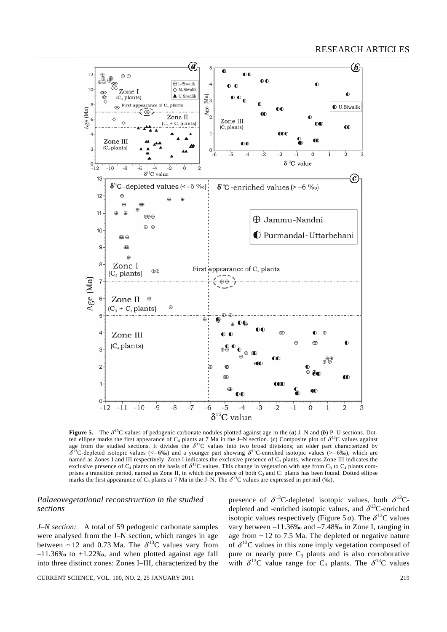

**Figure 5.** The  $\delta^{13}C$  values of pedogenic carbonate nodules plotted against age in the (*a*) J–N and (*b*) P–U sections. Dotted ellipse marks the first appearance of  $C_4$  plants at 7 Ma in the J–N section. (*c*) Composite plot of  $\delta^{13}C$  values against age from the studied sections. It divides the  $\delta^{13}$ C values into two broad divisions; an older part characterized by  $\delta^{13}$ C-depleted isotopic values (<–6‰) and a younger part showing  $\delta^{13}$ C-enriched isotopic values (>–6‰), which are named as Zones I and III respectively. Zone I indicates the exclusive presence of  $C_3$  plants, whereas Zone III indicates the exclusive presence of  $C_4$  plants on the basis of  $\delta^{13}C$  values. This change in vegetation with age from  $C_3$  to  $C_4$  plants comprises a transition period, named as Zone II, in which the presence of both  $C_3$  and  $C_4$  plants has been found. Dotted ellipse marks the first appearance of C<sub>4</sub> plants at 7 Ma in the J–N. The  $\delta^{13}$ C values are expressed in per mil (‰).

#### *Palaeovegetational reconstruction in the studied sections*

*J–N section:* A total of 59 pedogenic carbonate samples were analysed from the J–N section, which ranges in age between ~ 12 and 0.73 Ma. The  $\delta^{13}$ C values vary from  $-11.36\%$  to  $+1.22\%$ , and when plotted against age fall into three distinct zones: Zones I–III, characterized by the

presence of  $\delta^{13}$ C-depleted isotopic values, both  $\delta^{13}$ Cdepleted and -enriched isotopic values, and  $\delta^{13}$ C-enriched isotopic values respectively (Figure 5 *a*). The  $\delta^{13}$ C values vary between –11.36‰ and –7.48‰ in Zone I, ranging in age from  $\sim$  12 to 7.5 Ma. The depleted or negative nature of  $\delta^{13}$ C values in this zone imply vegetation composed of pure or nearly pure  $C_3$  plants and is also corroborative with  $\delta^{13}$ C value range for C<sub>3</sub> plants. The  $\delta^{13}$ C values

CURRENT SCIENCE, VOL. 100, NO. 2, 25 JANUARY 2011 219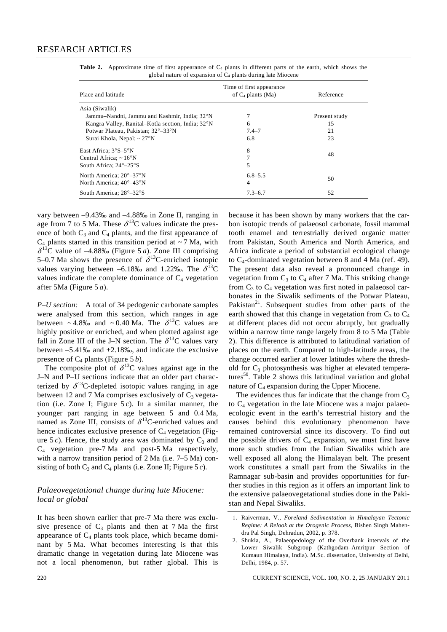| Place and latitude                                | Time of first appearance<br>of $C_4$ plants (Ma) | Reference     |  |
|---------------------------------------------------|--------------------------------------------------|---------------|--|
| Asia (Siwalik)                                    |                                                  |               |  |
| Jammu-Nandni, Jammu and Kashmir, India; 32°N      |                                                  | Present study |  |
| Kangra Valley, Ranital–Kotla section, India; 32°N | 6                                                | 15            |  |
| Potwar Plateau, Pakistan; 32°–33°N                | $7.4 - 7$                                        | 21            |  |
| Surai Khola, Nepal; $\sim$ 27 $\rm{°N}$           | 6.8                                              | 23            |  |
| East Africa; $3^{\circ}S - 5^{\circ}N$            | 8                                                | 48            |  |
| Central Africa; $\sim 16^{\circ}$ N               |                                                  |               |  |
| South Africa; $24^{\circ} - 25^{\circ}$ S         | 5                                                |               |  |
| North America; 20°–37°N                           | $6.8 - 5.5$                                      |               |  |
| North America; 40°–43°N                           | 4                                                | 50            |  |
| South America; 28°–32°S                           | $7.3 - 6.7$                                      | 52            |  |

**Table 2.** Approximate time of first appearance of C<sub>4</sub> plants in different parts of the earth, which shows the global nature of expansion of  $C_4$  plants during late Miocene

vary between –9.43‰ and –4.88‰ in Zone II, ranging in age from 7 to 5 Ma. These  $\delta^{13}$ C values indicate the presence of both  $C_3$  and  $C_4$  plants, and the first appearance of  $C_4$  plants started in this transition period at  $\sim$  7 Ma, with  $\delta^{13}$ C value of -4.88‰ (Figure 5 *a*). Zone III comprising 5–0.7 Ma shows the presence of  $\delta^{13}$ C-enriched isotopic values varying between –6.18‰ and 1.22‰. The  $\delta^{13}C$ values indicate the complete dominance of  $C_4$  vegetation after 5Ma (Figure 5 *a*).

*P–U section:* A total of 34 pedogenic carbonate samples were analysed from this section, which ranges in age between ~4.8‰ and ~0.40 Ma. The  $\delta^{13}$ C values are highly positive or enriched, and when plotted against age fall in Zone III of the J-N section. The  $\delta^{13}$ C values vary between  $-5.41\%$  and  $+2.18\%$ , and indicate the exclusive presence of  $C_4$  plants (Figure 5 *b*).

The composite plot of  $\delta^{13}$ C values against age in the J–N and P–U sections indicate that an older part characterized by  $\delta^{13}$ C-depleted isotopic values ranging in age between 12 and 7 Ma comprises exclusively of  $C_3$  vegetation (i.e. Zone I; Figure  $5c$ ). In a similar manner, the younger part ranging in age between 5 and 0.4 Ma, named as Zone III, consists of  $\delta^{13}$ C-enriched values and hence indicates exclusive presence of  $C_4$  vegetation (Figure  $5c$ ). Hence, the study area was dominated by  $C_3$  and  $C_4$  vegetation pre-7 Ma and post-5 Ma respectively, with a narrow transition period of 2 Ma (i.e. 7–5 Ma) consisting of both  $C_3$  and  $C_4$  plants (i.e. Zone II; Figure 5 *c*).

# *Palaeovegetational change during late Miocene: local or global*

It has been shown earlier that pre-7 Ma there was exclusive presence of  $C_3$  plants and then at 7 Ma the first appearance of  $C_4$  plants took place, which became dominant by 5 Ma. What becomes interesting is that this dramatic change in vegetation during late Miocene was not a local phenomenon, but rather global. This is because it has been shown by many workers that the carbon isotopic trends of palaeosol carbonate, fossil mammal tooth enamel and terrestrially derived organic matter from Pakistan, South America and North America, and Africa indicate a period of substantial ecological change to  $C_4$ -dominated vegetation between 8 and 4 Ma (ref. 49). The present data also reveal a pronounced change in vegetation from  $C_3$  to  $C_4$  after 7 Ma. This striking change from  $C_3$  to  $C_4$  vegetation was first noted in palaeosol carbonates in the Siwalik sediments of the Potwar Plateau, Pakistan<sup>21</sup>. Subsequent studies from other parts of the earth showed that this change in vegetation from  $C_3$  to  $C_4$ at different places did not occur abruptly, but gradually within a narrow time range largely from 8 to 5 Ma (Table 2). This difference is attributed to latitudinal variation of places on the earth. Compared to high-latitude areas, the change occurred earlier at lower latitudes where the threshold for  $C_3$  photosynthesis was higher at elevated temperatures<sup>50</sup>. Table 2 shows this latitudinal variation and global nature of  $C_4$  expansion during the Upper Miocene.

The evidences thus far indicate that the change from  $C_3$ to  $C_4$  vegetation in the late Miocene was a major palaeoecologic event in the earth's terrestrial history and the causes behind this evolutionary phenomenon have remained controversial since its discovery. To find out the possible drivers of  $C_4$  expansion, we must first have more such studies from the Indian Siwaliks which are well exposed all along the Himalayan belt. The present work constitutes a small part from the Siwaliks in the Ramnagar sub-basin and provides opportunities for further studies in this region as it offers an important link to the extensive palaeovegetational studies done in the Pakistan and Nepal Siwaliks.

<sup>1.</sup> Raiverman, V., *Foreland Sedimentation in Himalayan Tectonic Regime: A Relook at the Orogenic Process*, Bishen Singh Mahendra Pal Singh, Dehradun, 2002, p. 378.

<sup>2.</sup> Shukla, A., Palaeopedology of the Overbank intervals of the Lower Siwalik Subgroup (Kathgodam–Amritpur Section of Kumaun Himalaya, India). M.Sc. dissertation, University of Delhi, Delhi, 1984, p. 57.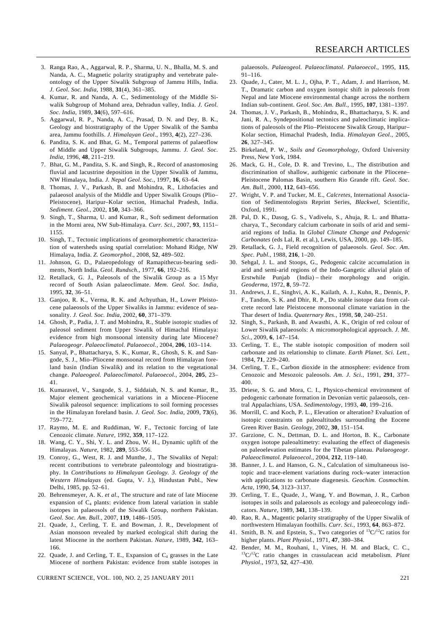- 3. Ranga Rao, A., Aggarwal, R. P., Sharma, U. N., Bhalla, M. S. and Nanda, A. C., Magnetic polarity stratigraphy and vertebrate paleontology of the Upper Siwalik Subgroup of Jammu Hills, India. *J. Geol. Soc. India*, 1988, **31**(4), 361–385.
- 4. Kumar, R. and Nanda, A. C., Sedimentology of the Middle Siwalik Subgroup of Mohand area, Dehradun valley, India. *J. Geol. Soc. India*, 1989, **34**(6), 597–616.
- 5. Aggarwal, R. P., Nanda, A. C., Prasad, D. N. and Dey, B. K., Geology and biostratigraphy of the Upper Siwalik of the Samba area, Jammu foothills. *J. Himalayan Geol*., 1993, **4**(2), 227–236.
- 6. Pandita, S. K. and Bhat, G. M., Temporal patterns of palaeoflow of Middle and Upper Siwalik Subgroups, Jammu. *J. Geol. Soc. India*, 1996, **48**, 211–219.
- 7. Bhat, G. M., Pandita, S. K. and Singh, R., Record of anastomosing fluvial and lacustrine deposition in the Upper Siwalik of Jammu, NW Himalaya, India. *J. Nepal Geol. Soc.*, 1997, **16**, 63–64.
- 8. Thomas, J. V., Parkash, B. and Mohindra, R., Lithofacies and palaeosol analysis of the Middle and Upper Siwalik Groups (Plio– Pleistocene), Haripur–Kolar section, Himachal Pradesh, India. *Sediment. Geol.*, 2002, **150**, 343–366.
- 9. Singh, T., Sharma, U. and Kumar, R., Soft sediment deformation in the Morni area, NW Sub-Himalaya. *Curr. Sci.*, 2007, **93**, 1151– 1155.
- 10. Singh, T., Tectonic implications of geomorphometric characterization of watersheds using spatial correlation: Mohand Ridge, NW Himalaya, India. *Z. Geomorphol.*, 2008, **52**, 489–502.
- 11. Johnson, G. D., Palaeopedology of Ramapithecus-bearing sediments, North India. *Geol. Rundsch.*, 1977, **66**, 192–216.
- 12. Retallack, G. J., Paleosols of the Siwalik Group as a 15 Myr record of South Asian palaeoclimate. *Mem. Geol. Soc. India*, 1995, **32**, 36–51.
- 13. Ganjoo, R. K., Verma, R. K. and Achyuthan, H., Lower Pleistocene palaeosols of the Upper Siwaliks in Jammu: evidence of seasonality. *J. Geol. Soc. India*, 2002, **60**, 371–379.
- 14. Ghosh, P., Padia, J. T. and Mohindra, R., Stable isotopic studies of paleosol sediment from Upper Siwalik of Himachal Himalaya: evidence from high monsoonal intensity during late Miocene? *Palaeogeogr*. *Palaeoclimatol. Palaeoecol.*, 2004, **206**, 103–114.
- 15. Sanyal, P., Bhattacharya, S. K., Kumar, R., Ghosh, S. K. and Sangode, S. J., Mio–Pliocene monsoonal record from Himalayan foreland basin (Indian Siwalik) and its relation to the vegetational change. *Palaeogeol. Palaeoclimatol. Palaeoecol*., 2004, **205**, 23– 41.
- 16. Kumaravel, V., Sangode, S. J., Siddaiah, N. S. and Kumar, R., Major element geochemical variations in a Miocene–Pliocene Siwalik paleosol sequence: implications to soil forming processes in the Himalayan foreland basin. *J. Geol. Soc. India*, 2009, **73**(6), 759–772.
- 17. Raymo, M. E. and Ruddiman, W. F., Tectonic forcing of late Cenozoic climate. *Nature*, 1992, **359**, 117–122.
- 18. Wang, C. Y., Shi, Y. L. and Zhou, W. H., Dynamic uplift of the Himalayas. *Nature*, 1982, **289**, 553–556.
- 19. Conroy, G., West, R. J. and Munthe, J., The Siwaliks of Nepal: recent contributions to vertebrate paleontology and biostratigraphy. In *Contributions to Himalayan Geology. 3. Geology of the Western Himalayas* (ed. Gupta, V. J.), Hindustan Publ., New Delhi, 1985, pp. 52–61.
- 20. Behrensmeyer, A. K. *et al*., The structure and rate of late Miocene expansion of  $C_4$  plants: evidence from lateral variation in stable isotopes in palaeosols of the Siwalik Group, northern Pakistan. *Geol. Soc. Am. Bull.*, 2007, **119**, 1486–1505.
- 21. Quade, J., Cerling, T. E. and Bowman, J. R., Development of Asian monsoon revealed by marked ecological shift during the latest Miocene in the northern Pakistan. *Nature*, 1989, **342**, 163– 166.
- 22. Quade, J. and Cerling, T. E., Expansion of  $C_4$  grasses in the Late Miocene of northern Pakistan: evidence from stable isotopes in

CURRENT SCIENCE, VOL. 100, NO. 2, 25 JANUARY 2011 221

palaeosols. *Palaeogeol. Palaeoclimatol. Palaeoecol*., 1995, **115**, 91–116.

- 23. Quade, J., Cater, M. L. J., Ojha, P. T., Adam, J. and Harrison, M. T., Dramatic carbon and oxygen isotopic shift in paleosols from Nepal and late Miocene environmental change across the northern Indian sub-continent. *Geol. Soc. Am. Bull.*, 1995, **107**, 1381–1397.
- 24. Thomas, J. V., Parkash, B., Mohindra, R., Bhattacharya, S. K. and Jani, R. A., Syndepositional tectonics and paleoclimatic implications of paleosols of the Plio–Pleistocene Siwalik Group, Haripur– Kolar section, Himachal Pradesh, India. *Himalayan Geol*., 2005, **26**, 327–345.
- 25. Birkeland, P. W., *Soils and Geomorphology*, Oxford University Press, New York, 1984.
- 26. Mack, G. H., Cole, D. R. and Trevino, L., The distribution and discrimination of shallow, authigenic carbonate in the Pliocene– Pleistocene Palomas Basin, southern Rio Grande rift. *Geol. Soc. Am. Bull.*, 2000, **112**, 643–656.
- 27. Wright, V. P. and Tucker, M. E., *Calcretes*, International Association of Sedimentologists Reprint Series, *Blackwel*, Scientific, Oxford, 1991.
- 28. Pal, D. K., Dasog, G. S., Vadivelu, S., Ahuja, R. L. and Bhattacharya, T., Secondary calcium carbonate in soils of arid and semiarid regions of India. In *Global Climate Change and Pedogenic Carbonates* (eds Lal, R. et al.), Lewis, USA, 2000, pp. 149–185.
- 29. Retallack, G. J., Field recognition of palaeosols. *Geol. Soc. Am. Spec. Publ.*, 1988, **216**, 1–20.
- 30. Sehgal, J. L. and Stoops, G., Pedogenic calcite accumulation in arid and semi-arid regions of the Indo-Gangetic alluvial plain of Erstwhile Punjab (India) – their morphology and origin. *Geoderma*, 1972, **8**, 59–72.
- 31. Andrews, J. E., Singhvi, A. K., Kailath, A. J., Kuhn, R., Dennis, P. F., Tandon, S. K. and Dhir, R. P., Do stable isotope data from calcrete record late Pleistocene monsoonal climate variation in the Thar desert of India. *Quaternary Res.*, 1998, **50**, 240–251.
- 32. Singh, S., Parkash, B. and Awasthi, A. K., Origin of red colour of Lower Siwalik palaeosols: A micromorphological approach. *J. Mt. Sci.*, 2009, **6**, 147–154.
- 33. Cerling, T. E., The stable isotopic composition of modern soil carbonate and its relationship to climate. *Earth Planet*. *Sci. Lett.*, 1984, **71**, 229–240.
- 34. Cerling, T. E., Carbon dioxide in the atmosphere: evidence from Cenozoic and Mesozoic paleosols. *Am. J. Sci.*, 1991, **291**, 377– 400.
- 35. Driese, S. G. and Mora, C. I., Physico-chemical environment of pedogenic carbonate formation in Devonian vertic palaeosols, central Appalachians, USA. *Sedimentology*, 1993, **40**, 199–216.
- 36. Morrill, C. and Koch, P. L., Elevation or alteration? Evaluation of isotopic constraints on paleoaltitudes surrounding the Eocene Green River Basin. *Geology*, 2002, **30**, 151–154.
- 37. Garzione, C. N., Dettman, D. L. and Horton, B. K., Carbonate oxygen isotope paleoaltimetry: evaluating the effect of diagenesis on paleoelevation estimates for the Tibetan plateau. *Palaeogeogr. Palaeoclimatol. Palaeoecol.*, 2004, **212**, 119–140.
- 38. Banner, J. L. and Hanson, G. N., Calculation of simultaneous isotopic and trace-element variations during rock–water interaction with applications to carbonate diagenesis. *Geochim. Cosmochim. Acta*, 1990, **54**, 3123–3137.
- 39. Cerling, T. E., Quade, J., Wang, Y. and Bowman, J. R., Carbon isotopes in soils and palaeosols as ecology and paleoecology indicators. *Nature*, 1989, **341**, 138–139.
- 40. Rao, R. A., Magentic polarity stratigraphy of the Upper Siwalik of northwestern Himalayan foothills. *Curr. Sci.*, 1993, **64**, 863–872.
- 41. Smith, B. N. and Epstein, S., Two categories of  ${}^{13}C/{}^{12}C$  ratios for higher plants. *Plant Physiol.*, 1971, **47**, 380–384.
- 42. Bender, M. M., Rouhani, I., Vines, H. M. and Black, C. C., 13C/12C ratio changes in crassulacean acid metabolism. *Plant Physiol*., 1973, **52**, 427–430.